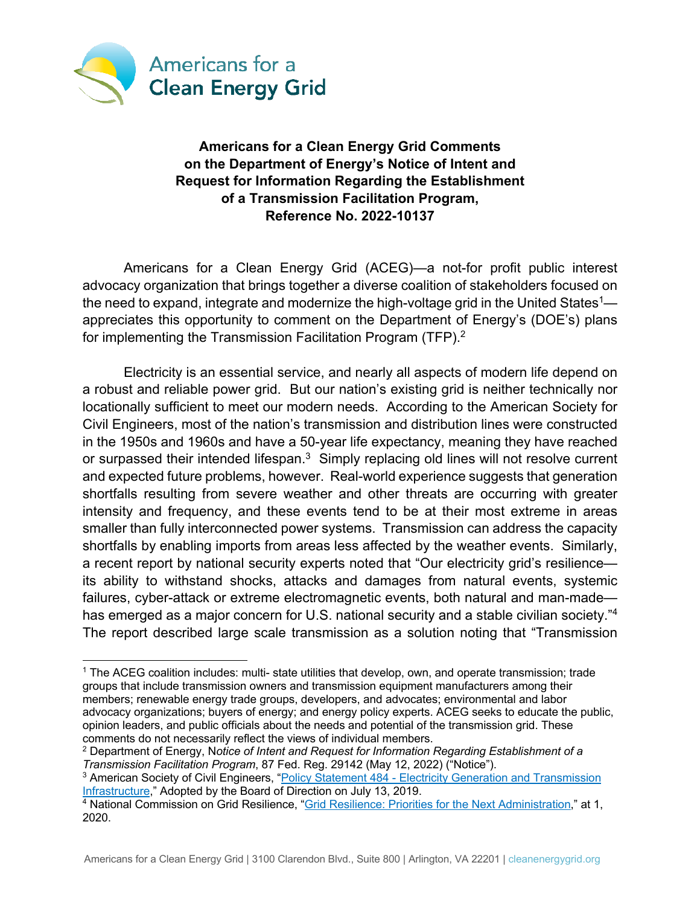

# **Americans for a Clean Energy Grid Comments on the Department of Energy's Notice of Intent and Request for Information Regarding the Establishment of a Transmission Facilitation Program, Reference No. 2022-10137**

Americans for a Clean Energy Grid (ACEG)—a not-for profit public interest advocacy organization that brings together a diverse coalition of stakeholders focused on the need to expand, integrate and modernize the high-voltage grid in the United States<sup>1</sup> appreciates this opportunity to comment on the Department of Energy's (DOE's) plans for implementing the Transmission Facilitation Program (TFP).<sup>2</sup>

Electricity is an essential service, and nearly all aspects of modern life depend on a robust and reliable power grid. But our nation's existing grid is neither technically nor locationally sufficient to meet our modern needs. According to the American Society for Civil Engineers, most of the nation's transmission and distribution lines were constructed in the 1950s and 1960s and have a 50-year life expectancy, meaning they have reached or surpassed their intended lifespan.<sup>3</sup> Simply replacing old lines will not resolve current and expected future problems, however. Real-world experience suggests that generation shortfalls resulting from severe weather and other threats are occurring with greater intensity and frequency, and these events tend to be at their most extreme in areas smaller than fully interconnected power systems. Transmission can address the capacity shortfalls by enabling imports from areas less affected by the weather events. Similarly, a recent report by national security experts noted that "Our electricity grid's resilience its ability to withstand shocks, attacks and damages from natural events, systemic failures, cyber-attack or extreme electromagnetic events, both natural and man-made has emerged as a major concern for U.S. national security and a stable civilian society."<sup>4</sup> The report described large scale transmission as a solution noting that "Transmission

<sup>1</sup> The ACEG coalition includes: multi- state utilities that develop, own, and operate transmission; trade groups that include transmission owners and transmission equipment manufacturers among their members; renewable energy trade groups, developers, and advocates; environmental and labor advocacy organizations; buyers of energy; and energy policy experts. ACEG seeks to educate the public, opinion leaders, and public officials about the needs and potential of the transmission grid. These comments do not necessarily reflect the views of individual members.

<sup>2</sup> Department of Energy, N*otice of Intent and Request for Information Regarding Establishment of a Transmission Facilitation Program*, 87 Fed. Reg. 29142 (May 12, 2022) ("Notice").

<sup>&</sup>lt;sup>3</sup> American Society of Civil Engineers, "Policy Statement 484 - Electricity Generation and Transmission Infrastructure," Adopted by the Board of Direction on July 13, 2019.

<sup>4</sup> National Commission on Grid Resilience, "Grid Resilience: Priorities for the Next Administration," at 1, 2020.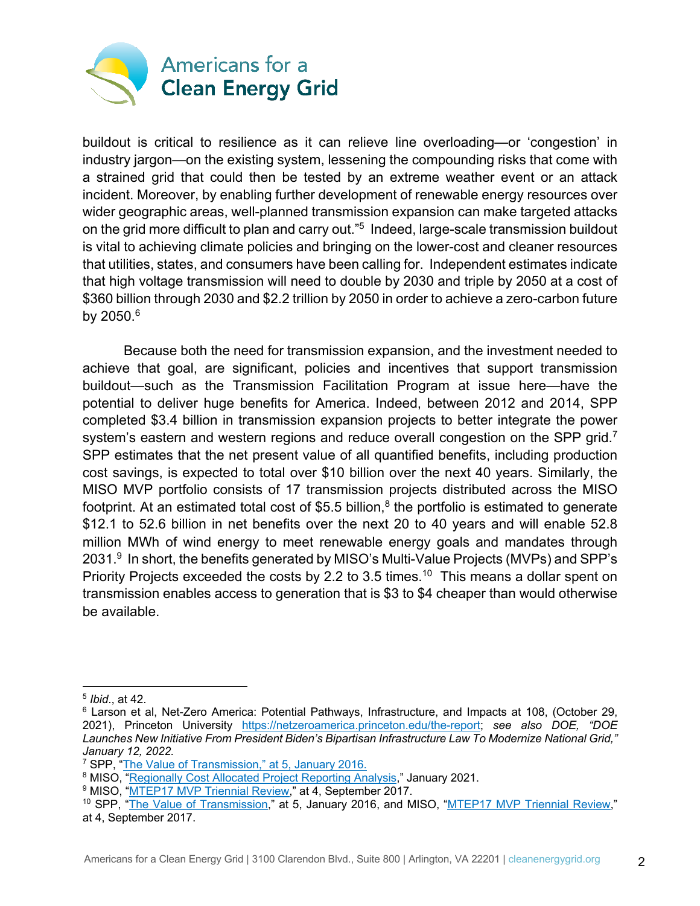

buildout is critical to resilience as it can relieve line overloading—or 'congestion' in industry jargon—on the existing system, lessening the compounding risks that come with a strained grid that could then be tested by an extreme weather event or an attack incident. Moreover, by enabling further development of renewable energy resources over wider geographic areas, well-planned transmission expansion can make targeted attacks on the grid more difficult to plan and carry out."5 Indeed, large-scale transmission buildout is vital to achieving climate policies and bringing on the lower-cost and cleaner resources that utilities, states, and consumers have been calling for. Independent estimates indicate that high voltage transmission will need to double by 2030 and triple by 2050 at a cost of \$360 billion through 2030 and \$2.2 trillion by 2050 in order to achieve a zero-carbon future by 2050.6

Because both the need for transmission expansion, and the investment needed to achieve that goal, are significant, policies and incentives that support transmission buildout—such as the Transmission Facilitation Program at issue here—have the potential to deliver huge benefits for America. Indeed, between 2012 and 2014, SPP completed \$3.4 billion in transmission expansion projects to better integrate the power system's eastern and western regions and reduce overall congestion on the SPP grid.<sup>7</sup> SPP estimates that the net present value of all quantified benefits, including production cost savings, is expected to total over \$10 billion over the next 40 years. Similarly, the MISO MVP portfolio consists of 17 transmission projects distributed across the MISO footprint. At an estimated total cost of \$5.5 billion,<sup>8</sup> the portfolio is estimated to generate \$12.1 to 52.6 billion in net benefits over the next 20 to 40 years and will enable 52.8 million MWh of wind energy to meet renewable energy goals and mandates through 2031.<sup>9</sup> In short, the benefits generated by MISO's Multi-Value Projects (MVPs) and SPP's Priority Projects exceeded the costs by 2.2 to 3.5 times.<sup>10</sup> This means a dollar spent on transmission enables access to generation that is \$3 to \$4 cheaper than would otherwise be available.

<sup>5</sup> *Ibid*., at 42.

<sup>6</sup> Larson et al, Net-Zero America: Potential Pathways, Infrastructure, and Impacts at 108, (October 29, 2021), Princeton University https://netzeroamerica.princeton.edu/the-report; *see also DOE, "DOE Launches New Initiative From President Biden's Bipartisan Infrastructure Law To Modernize National Grid," January 12, 2022.*

<sup>7</sup> SPP, "The Value of Transmission," at 5, January 2016.

<sup>8</sup> MISO, "Regionally Cost Allocated Project Reporting Analysis," January 2021.

<sup>&</sup>lt;sup>9</sup> MISO, "MTEP17 MVP Triennial Review," at 4, September 2017.

<sup>&</sup>lt;sup>10</sup> SPP, "The Value of Transmission," at 5, January 2016, and MISO, "MTEP17 MVP Triennial Review," at 4, September 2017.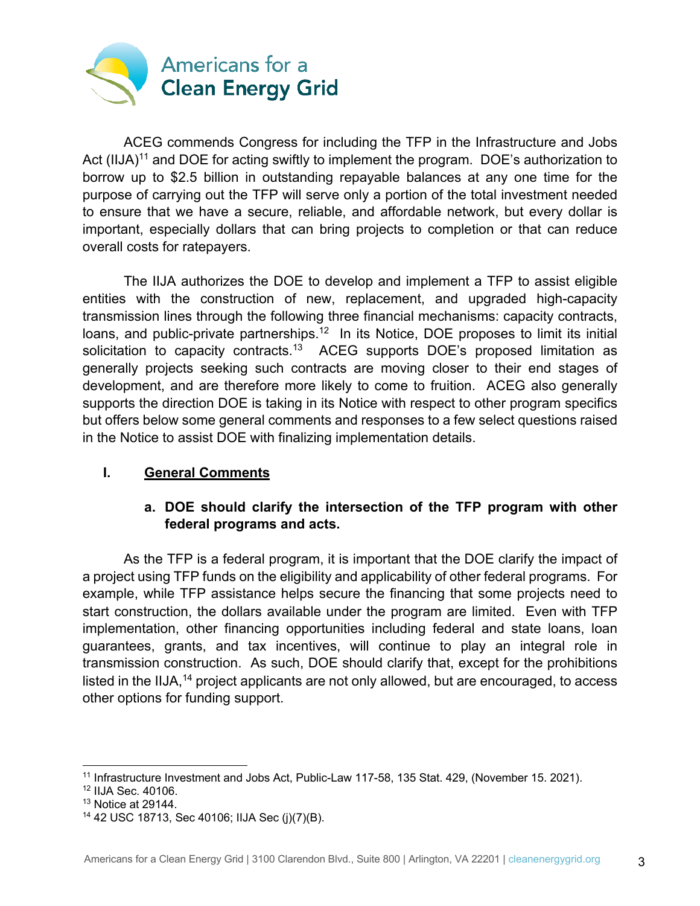

ACEG commends Congress for including the TFP in the Infrastructure and Jobs Act (IIJA)<sup>11</sup> and DOE for acting swiftly to implement the program. DOE's authorization to borrow up to \$2.5 billion in outstanding repayable balances at any one time for the purpose of carrying out the TFP will serve only a portion of the total investment needed to ensure that we have a secure, reliable, and affordable network, but every dollar is important, especially dollars that can bring projects to completion or that can reduce overall costs for ratepayers.

The IIJA authorizes the DOE to develop and implement a TFP to assist eligible entities with the construction of new, replacement, and upgraded high-capacity transmission lines through the following three financial mechanisms: capacity contracts, loans, and public-private partnerships.<sup>12</sup> In its Notice, DOE proposes to limit its initial solicitation to capacity contracts.<sup>13</sup> ACEG supports DOE's proposed limitation as generally projects seeking such contracts are moving closer to their end stages of development, and are therefore more likely to come to fruition. ACEG also generally supports the direction DOE is taking in its Notice with respect to other program specifics but offers below some general comments and responses to a few select questions raised in the Notice to assist DOE with finalizing implementation details.

### **I. General Comments**

# **a. DOE should clarify the intersection of the TFP program with other federal programs and acts.**

As the TFP is a federal program, it is important that the DOE clarify the impact of a project using TFP funds on the eligibility and applicability of other federal programs. For example, while TFP assistance helps secure the financing that some projects need to start construction, the dollars available under the program are limited. Even with TFP implementation, other financing opportunities including federal and state loans, loan guarantees, grants, and tax incentives, will continue to play an integral role in transmission construction. As such, DOE should clarify that, except for the prohibitions listed in the IIJA,<sup>14</sup> project applicants are not only allowed, but are encouraged, to access other options for funding support.

<sup>11</sup> Infrastructure Investment and Jobs Act, Public-Law 117-58, 135 Stat. 429, (November 15. 2021).

<sup>12</sup> IIJA Sec. 40106.

 $13$  Notice at 29144.

<sup>14</sup> 42 USC 18713, Sec 40106; IIJA Sec (j)(7)(B).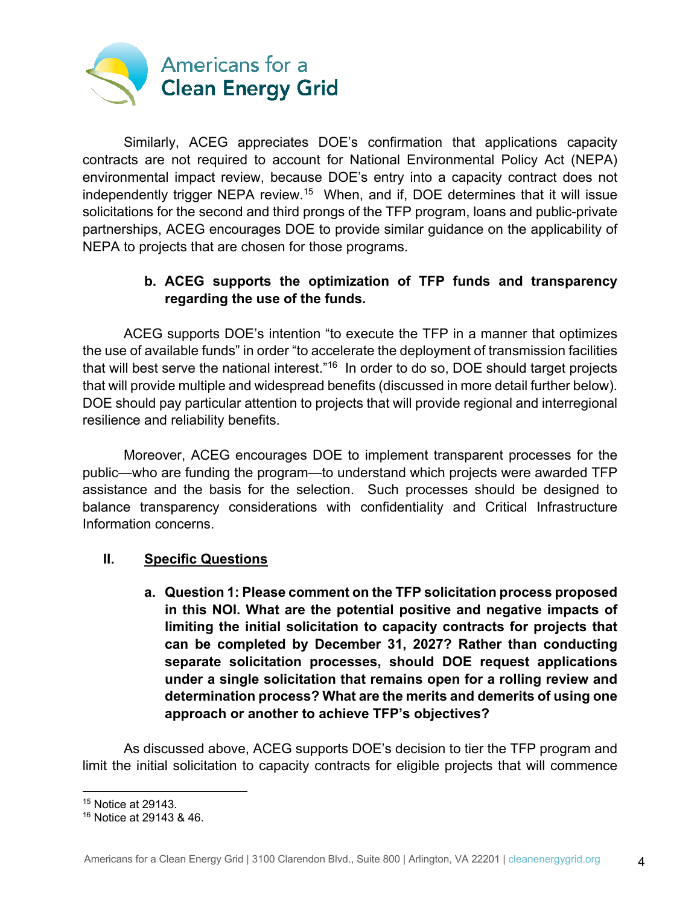

Similarly, ACEG appreciates DOE's confirmation that applications capacity contracts are not required to account for National Environmental Policy Act (NEPA) environmental impact review, because DOE's entry into a capacity contract does not independently trigger NEPA review.<sup>15</sup> When, and if, DOE determines that it will issue solicitations for the second and third prongs of the TFP program, loans and public-private partnerships, ACEG encourages DOE to provide similar guidance on the applicability of NEPA to projects that are chosen for those programs.

## **b. ACEG supports the optimization of TFP funds and transparency regarding the use of the funds.**

ACEG supports DOE's intention "to execute the TFP in a manner that optimizes the use of available funds" in order "to accelerate the deployment of transmission facilities that will best serve the national interest."<sup>16</sup> In order to do so, DOE should target projects that will provide multiple and widespread benefits (discussed in more detail further below). DOE should pay particular attention to projects that will provide regional and interregional resilience and reliability benefits.

Moreover, ACEG encourages DOE to implement transparent processes for the public—who are funding the program—to understand which projects were awarded TFP assistance and the basis for the selection. Such processes should be designed to balance transparency considerations with confidentiality and Critical Infrastructure Information concerns.

### **II. Specific Questions**

**a. Question 1: Please comment on the TFP solicitation process proposed in this NOI. What are the potential positive and negative impacts of limiting the initial solicitation to capacity contracts for projects that can be completed by December 31, 2027? Rather than conducting separate solicitation processes, should DOE request applications under a single solicitation that remains open for a rolling review and determination process? What are the merits and demerits of using one approach or another to achieve TFP's objectives?**

As discussed above, ACEG supports DOE's decision to tier the TFP program and limit the initial solicitation to capacity contracts for eligible projects that will commence

<sup>15</sup> Notice at 29143.

<sup>16</sup> Notice at 29143 & 46.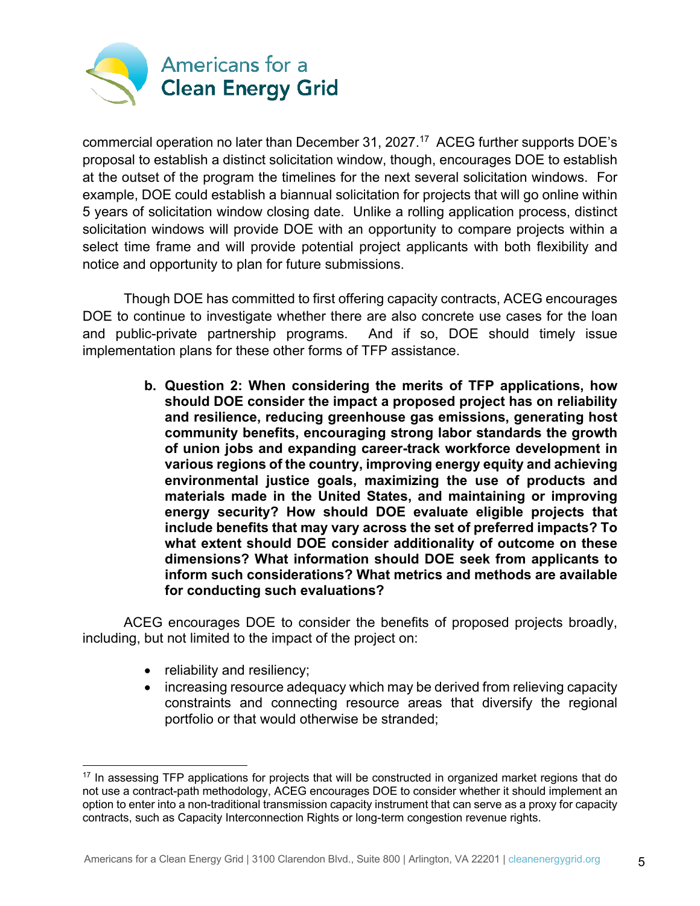

commercial operation no later than December 31, 2027. 17 ACEG further supports DOE's proposal to establish a distinct solicitation window, though, encourages DOE to establish at the outset of the program the timelines for the next several solicitation windows. For example, DOE could establish a biannual solicitation for projects that will go online within 5 years of solicitation window closing date. Unlike a rolling application process, distinct solicitation windows will provide DOE with an opportunity to compare projects within a select time frame and will provide potential project applicants with both flexibility and notice and opportunity to plan for future submissions.

Though DOE has committed to first offering capacity contracts, ACEG encourages DOE to continue to investigate whether there are also concrete use cases for the loan and public-private partnership programs. And if so, DOE should timely issue implementation plans for these other forms of TFP assistance.

> **b. Question 2: When considering the merits of TFP applications, how should DOE consider the impact a proposed project has on reliability and resilience, reducing greenhouse gas emissions, generating host community benefits, encouraging strong labor standards the growth of union jobs and expanding career-track workforce development in various regions of the country, improving energy equity and achieving environmental justice goals, maximizing the use of products and materials made in the United States, and maintaining or improving energy security? How should DOE evaluate eligible projects that include benefits that may vary across the set of preferred impacts? To what extent should DOE consider additionality of outcome on these dimensions? What information should DOE seek from applicants to inform such considerations? What metrics and methods are available for conducting such evaluations?**

ACEG encourages DOE to consider the benefits of proposed projects broadly, including, but not limited to the impact of the project on:

- reliability and resiliency;
- increasing resource adequacy which may be derived from relieving capacity constraints and connecting resource areas that diversify the regional portfolio or that would otherwise be stranded;

<sup>&</sup>lt;sup>17</sup> In assessing TFP applications for projects that will be constructed in organized market regions that do not use a contract-path methodology, ACEG encourages DOE to consider whether it should implement an option to enter into a non-traditional transmission capacity instrument that can serve as a proxy for capacity contracts, such as Capacity Interconnection Rights or long-term congestion revenue rights.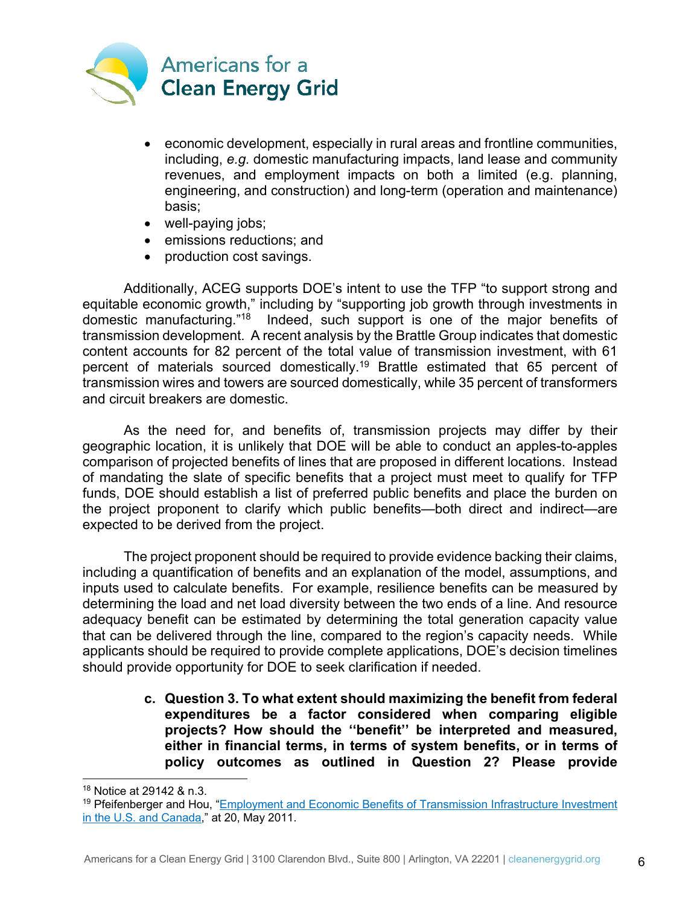

- economic development, especially in rural areas and frontline communities, including, *e.g.* domestic manufacturing impacts, land lease and community revenues, and employment impacts on both a limited (e.g. planning, engineering, and construction) and long-term (operation and maintenance) basis;
- well-paying jobs;
- emissions reductions; and
- production cost savings.

Additionally, ACEG supports DOE's intent to use the TFP "to support strong and equitable economic growth," including by "supporting job growth through investments in domestic manufacturing."18 Indeed, such support is one of the major benefits of transmission development. A recent analysis by the Brattle Group indicates that domestic content accounts for 82 percent of the total value of transmission investment, with 61 percent of materials sourced domestically.19 Brattle estimated that 65 percent of transmission wires and towers are sourced domestically, while 35 percent of transformers and circuit breakers are domestic.

As the need for, and benefits of, transmission projects may differ by their geographic location, it is unlikely that DOE will be able to conduct an apples-to-apples comparison of projected benefits of lines that are proposed in different locations. Instead of mandating the slate of specific benefits that a project must meet to qualify for TFP funds, DOE should establish a list of preferred public benefits and place the burden on the project proponent to clarify which public benefits—both direct and indirect—are expected to be derived from the project.

The project proponent should be required to provide evidence backing their claims, including a quantification of benefits and an explanation of the model, assumptions, and inputs used to calculate benefits. For example, resilience benefits can be measured by determining the load and net load diversity between the two ends of a line. And resource adequacy benefit can be estimated by determining the total generation capacity value that can be delivered through the line, compared to the region's capacity needs. While applicants should be required to provide complete applications, DOE's decision timelines should provide opportunity for DOE to seek clarification if needed.

> **c. Question 3. To what extent should maximizing the benefit from federal expenditures be a factor considered when comparing eligible projects? How should the ''benefit'' be interpreted and measured, either in financial terms, in terms of system benefits, or in terms of policy outcomes as outlined in Question 2? Please provide**

<sup>18</sup> Notice at 29142 & n.3.

<sup>19</sup> Pfeifenberger and Hou, "Employment and Economic Benefits of Transmission Infrastructure Investment in the U.S. and Canada," at 20, May 2011.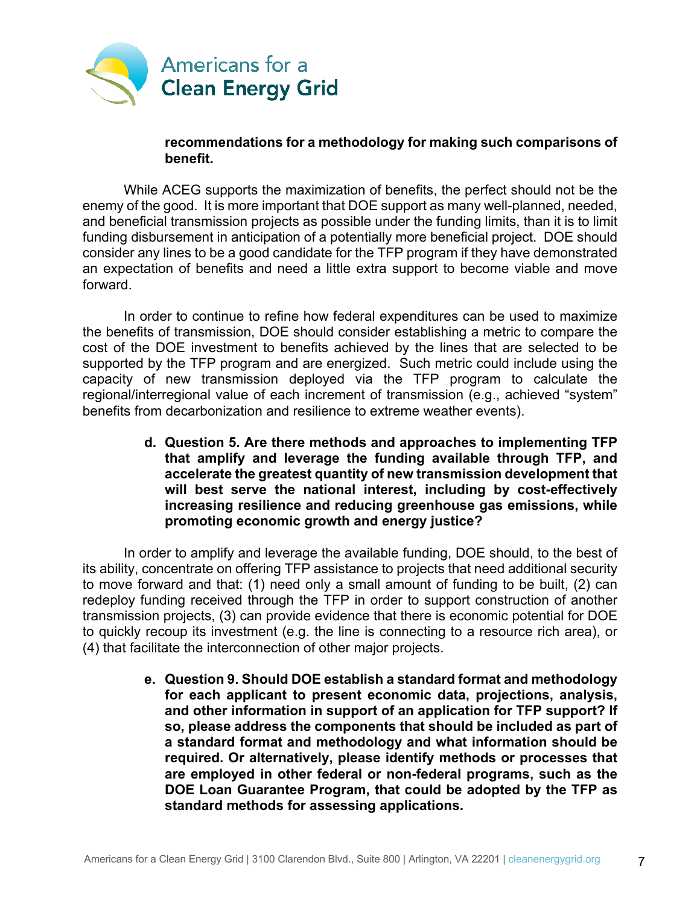

#### **recommendations for a methodology for making such comparisons of benefit.**

While ACEG supports the maximization of benefits, the perfect should not be the enemy of the good. It is more important that DOE support as many well-planned, needed, and beneficial transmission projects as possible under the funding limits, than it is to limit funding disbursement in anticipation of a potentially more beneficial project. DOE should consider any lines to be a good candidate for the TFP program if they have demonstrated an expectation of benefits and need a little extra support to become viable and move forward.

In order to continue to refine how federal expenditures can be used to maximize the benefits of transmission, DOE should consider establishing a metric to compare the cost of the DOE investment to benefits achieved by the lines that are selected to be supported by the TFP program and are energized. Such metric could include using the capacity of new transmission deployed via the TFP program to calculate the regional/interregional value of each increment of transmission (e.g., achieved "system" benefits from decarbonization and resilience to extreme weather events).

> **d. Question 5. Are there methods and approaches to implementing TFP that amplify and leverage the funding available through TFP, and accelerate the greatest quantity of new transmission development that will best serve the national interest, including by cost-effectively increasing resilience and reducing greenhouse gas emissions, while promoting economic growth and energy justice?**

In order to amplify and leverage the available funding, DOE should, to the best of its ability, concentrate on offering TFP assistance to projects that need additional security to move forward and that: (1) need only a small amount of funding to be built, (2) can redeploy funding received through the TFP in order to support construction of another transmission projects, (3) can provide evidence that there is economic potential for DOE to quickly recoup its investment (e.g. the line is connecting to a resource rich area), or (4) that facilitate the interconnection of other major projects.

> **e. Question 9. Should DOE establish a standard format and methodology for each applicant to present economic data, projections, analysis, and other information in support of an application for TFP support? If so, please address the components that should be included as part of a standard format and methodology and what information should be required. Or alternatively, please identify methods or processes that are employed in other federal or non-federal programs, such as the DOE Loan Guarantee Program, that could be adopted by the TFP as standard methods for assessing applications.**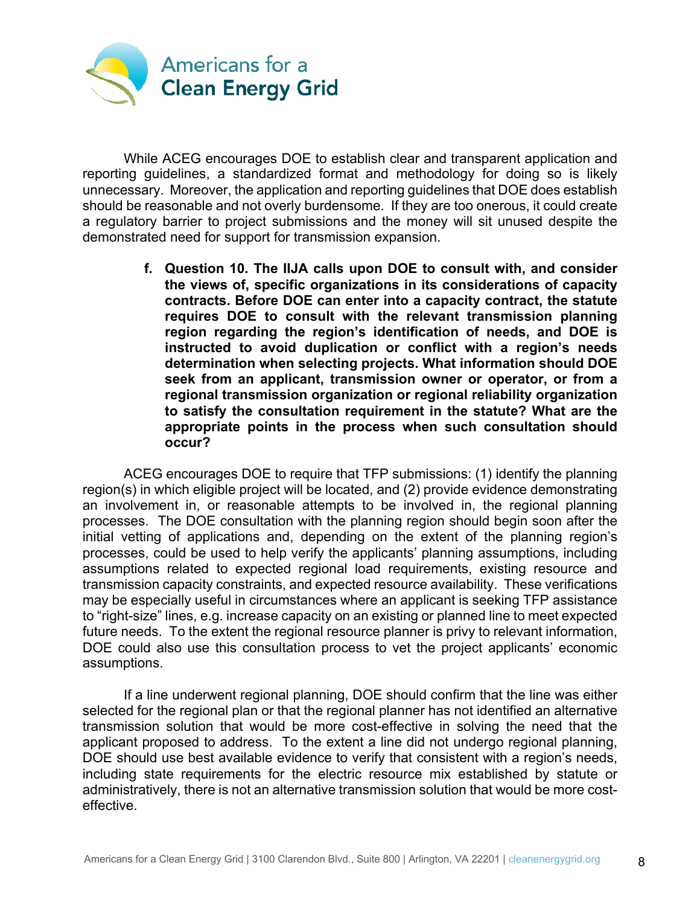

While ACEG encourages DOE to establish clear and transparent application and reporting guidelines, a standardized format and methodology for doing so is likely unnecessary. Moreover, the application and reporting guidelines that DOE does establish should be reasonable and not overly burdensome. If they are too onerous, it could create a regulatory barrier to project submissions and the money will sit unused despite the demonstrated need for support for transmission expansion.

> **f. Question 10. The IIJA calls upon DOE to consult with, and consider the views of, specific organizations in its considerations of capacity contracts. Before DOE can enter into a capacity contract, the statute requires DOE to consult with the relevant transmission planning region regarding the region's identification of needs, and DOE is instructed to avoid duplication or conflict with a region's needs determination when selecting projects. What information should DOE seek from an applicant, transmission owner or operator, or from a regional transmission organization or regional reliability organization to satisfy the consultation requirement in the statute? What are the appropriate points in the process when such consultation should occur?**

ACEG encourages DOE to require that TFP submissions: (1) identify the planning region(s) in which eligible project will be located, and (2) provide evidence demonstrating an involvement in, or reasonable attempts to be involved in, the regional planning processes. The DOE consultation with the planning region should begin soon after the initial vetting of applications and, depending on the extent of the planning region's processes, could be used to help verify the applicants' planning assumptions, including assumptions related to expected regional load requirements, existing resource and transmission capacity constraints, and expected resource availability. These verifications may be especially useful in circumstances where an applicant is seeking TFP assistance to "right-size" lines, e.g. increase capacity on an existing or planned line to meet expected future needs. To the extent the regional resource planner is privy to relevant information, DOE could also use this consultation process to vet the project applicants' economic assumptions.

If a line underwent regional planning, DOE should confirm that the line was either selected for the regional plan or that the regional planner has not identified an alternative transmission solution that would be more cost-effective in solving the need that the applicant proposed to address. To the extent a line did not undergo regional planning, DOE should use best available evidence to verify that consistent with a region's needs, including state requirements for the electric resource mix established by statute or administratively, there is not an alternative transmission solution that would be more costeffective.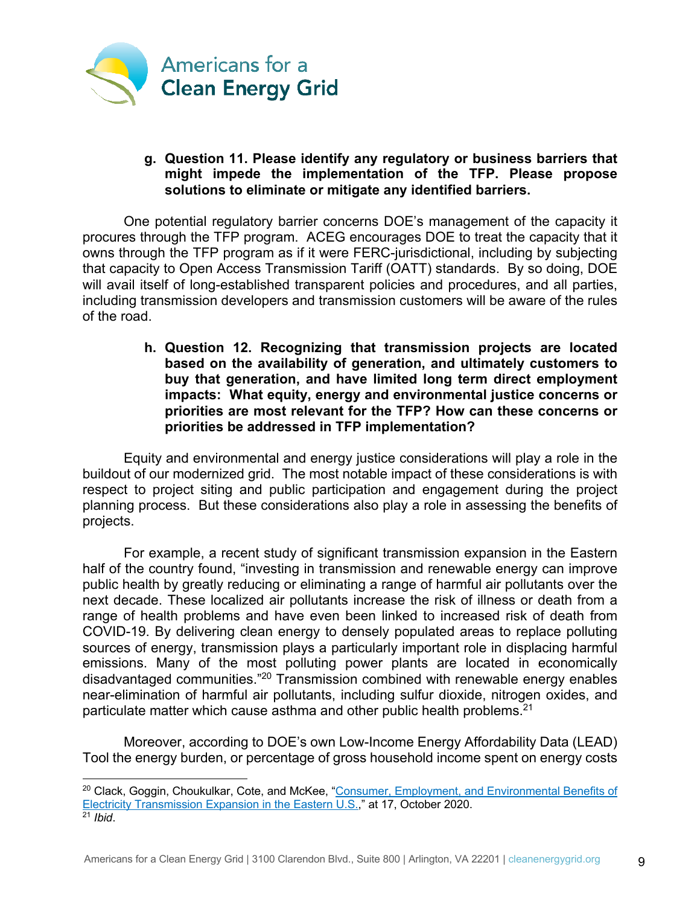

#### **g. Question 11. Please identify any regulatory or business barriers that might impede the implementation of the TFP. Please propose solutions to eliminate or mitigate any identified barriers.**

One potential regulatory barrier concerns DOE's management of the capacity it procures through the TFP program. ACEG encourages DOE to treat the capacity that it owns through the TFP program as if it were FERC-jurisdictional, including by subjecting that capacity to Open Access Transmission Tariff (OATT) standards. By so doing, DOE will avail itself of long-established transparent policies and procedures, and all parties, including transmission developers and transmission customers will be aware of the rules of the road.

> **h. Question 12. Recognizing that transmission projects are located based on the availability of generation, and ultimately customers to buy that generation, and have limited long term direct employment impacts: What equity, energy and environmental justice concerns or priorities are most relevant for the TFP? How can these concerns or priorities be addressed in TFP implementation?**

Equity and environmental and energy justice considerations will play a role in the buildout of our modernized grid. The most notable impact of these considerations is with respect to project siting and public participation and engagement during the project planning process. But these considerations also play a role in assessing the benefits of projects.

For example, a recent study of significant transmission expansion in the Eastern half of the country found, "investing in transmission and renewable energy can improve public health by greatly reducing or eliminating a range of harmful air pollutants over the next decade. These localized air pollutants increase the risk of illness or death from a range of health problems and have even been linked to increased risk of death from COVID-19. By delivering clean energy to densely populated areas to replace polluting sources of energy, transmission plays a particularly important role in displacing harmful emissions. Many of the most polluting power plants are located in economically disadvantaged communities."20 Transmission combined with renewable energy enables near-elimination of harmful air pollutants, including sulfur dioxide, nitrogen oxides, and particulate matter which cause asthma and other public health problems.<sup>21</sup>

Moreover, according to DOE's own Low-Income Energy Affordability Data (LEAD) Tool the energy burden, or percentage of gross household income spent on energy costs

<sup>&</sup>lt;sup>20</sup> Clack, Goggin, Choukulkar, Cote, and McKee, "Consumer, Employment, and Environmental Benefits of Electricity Transmission Expansion in the Eastern U.S.," at 17, October 2020. <sup>21</sup> *Ibid*.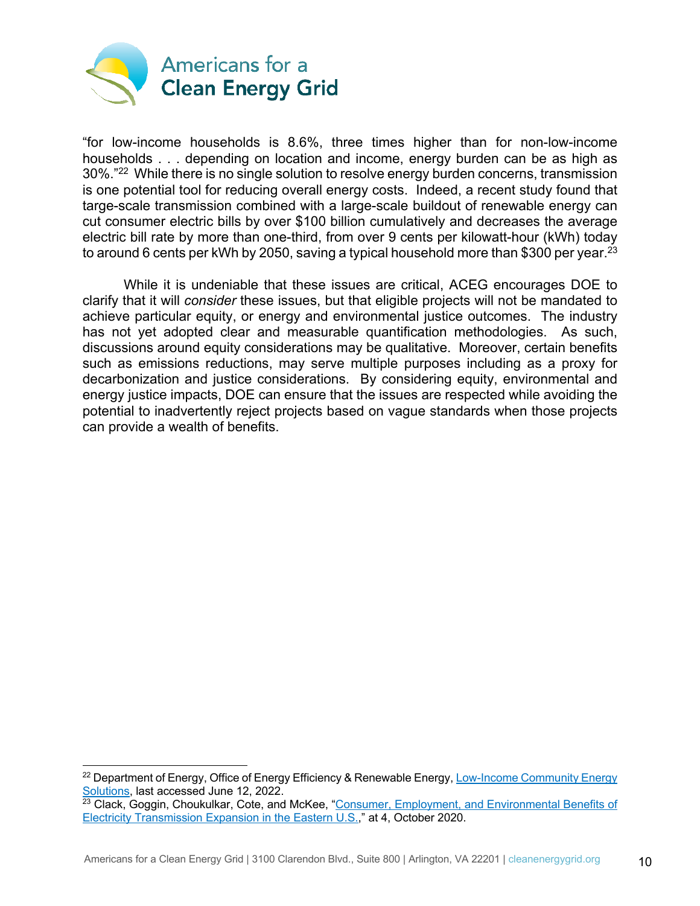

"for low-income households is 8.6%, three times higher than for non-low-income households . . . depending on location and income, energy burden can be as high as 30%."22 While there is no single solution to resolve energy burden concerns, transmission is one potential tool for reducing overall energy costs. Indeed, a recent study found that targe-scale transmission combined with a large-scale buildout of renewable energy can cut consumer electric bills by over \$100 billion cumulatively and decreases the average electric bill rate by more than one-third, from over 9 cents per kilowatt-hour (kWh) today to around 6 cents per kWh by 2050, saving a typical household more than \$300 per year.<sup>23</sup>

While it is undeniable that these issues are critical, ACEG encourages DOE to clarify that it will *consider* these issues, but that eligible projects will not be mandated to achieve particular equity, or energy and environmental justice outcomes. The industry has not yet adopted clear and measurable quantification methodologies. As such, discussions around equity considerations may be qualitative. Moreover, certain benefits such as emissions reductions, may serve multiple purposes including as a proxy for decarbonization and justice considerations. By considering equity, environmental and energy justice impacts, DOE can ensure that the issues are respected while avoiding the potential to inadvertently reject projects based on vague standards when those projects can provide a wealth of benefits.

 $^{22}$  Department of Energy, Office of Energy Efficiency & Renewable Energy, Low-Income Community Energy Solutions, last accessed June 12, 2022.

<sup>&</sup>lt;sup>23</sup> Clack, Goggin, Choukulkar, Cote, and McKee, "Consumer, Employment, and Environmental Benefits of Electricity Transmission Expansion in the Eastern U.S.," at 4, October 2020.